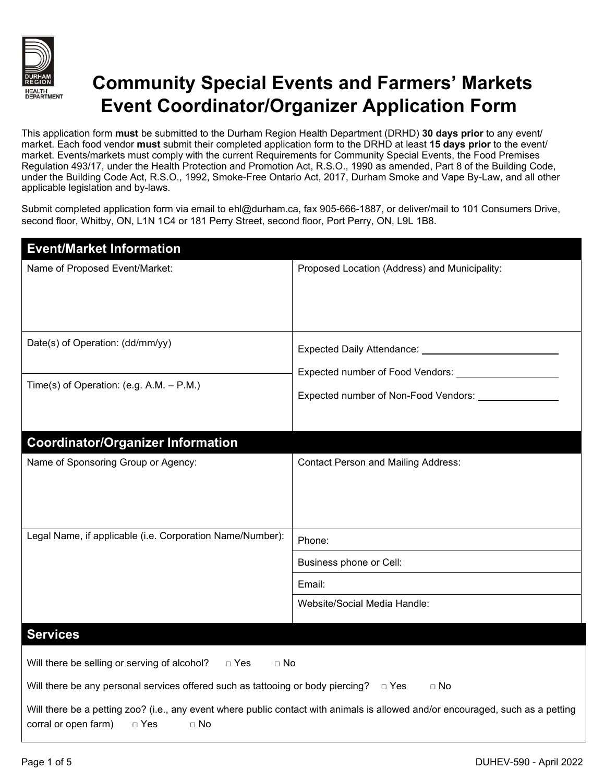

## **Community Special Events and Farmers' Markets Event Coordinator/Organizer Application Form**

This application form **must** be submitted to the Durham Region Health Department (DRHD) **30 days prior** to any event/ market. Each food vendor **must** submit their completed application form to the DRHD at least **15 days prior** to the event/ market. Events/markets must comply with the current Requirements for Community Special Events, the Food Premises Regulation 493/17, under the Health Protection and Promotion Act, R.S.O., 1990 as amended, Part 8 of the Building Code, under the Building Code Act, R.S.O., 1992, Smoke-Free Ontario Act, 2017, Durham Smoke and Vape By-Law, and all other applicable legislation and by-laws.

Submit completed application form via email to ehl@durham.ca, fax 905-666-1887, or deliver/mail to 101 Consumers Drive, second floor, Whitby, ON, L1N 1C4 or 181 Perry Street, second floor, Port Perry, ON, L9L 1B8.

| <b>Event/Market Information</b>                                                                                                                                                       |                                                                                                  |  |  |
|---------------------------------------------------------------------------------------------------------------------------------------------------------------------------------------|--------------------------------------------------------------------------------------------------|--|--|
| Name of Proposed Event/Market:                                                                                                                                                        | Proposed Location (Address) and Municipality:                                                    |  |  |
| Date(s) of Operation: (dd/mm/yy)                                                                                                                                                      | Expected Daily Attendance: 2008 2010 2021 2022 2023<br>Expected number of Non-Food Vendors: ____ |  |  |
| Time(s) of Operation: (e.g. A.M. $-$ P.M.)                                                                                                                                            |                                                                                                  |  |  |
| <b>Coordinator/Organizer Information</b>                                                                                                                                              |                                                                                                  |  |  |
| Name of Sponsoring Group or Agency:                                                                                                                                                   | <b>Contact Person and Mailing Address:</b>                                                       |  |  |
| Legal Name, if applicable (i.e. Corporation Name/Number):                                                                                                                             | Phone:                                                                                           |  |  |
|                                                                                                                                                                                       | Business phone or Cell:                                                                          |  |  |
|                                                                                                                                                                                       | Email:                                                                                           |  |  |
|                                                                                                                                                                                       | Website/Social Media Handle:                                                                     |  |  |
| <b>Services</b>                                                                                                                                                                       |                                                                                                  |  |  |
| Will there be selling or serving of alcohol?<br>$\Box$ Yes<br>$\Box$ No                                                                                                               |                                                                                                  |  |  |
| Will there be any personal services offered such as tattooing or body piercing?<br>$\Box$ Yes<br>$\sqcap$ No                                                                          |                                                                                                  |  |  |
| Will there be a petting zoo? (i.e., any event where public contact with animals is allowed and/or encouraged, such as a petting<br>corral or open farm)<br>$\Box$ Yes<br>$\square$ No |                                                                                                  |  |  |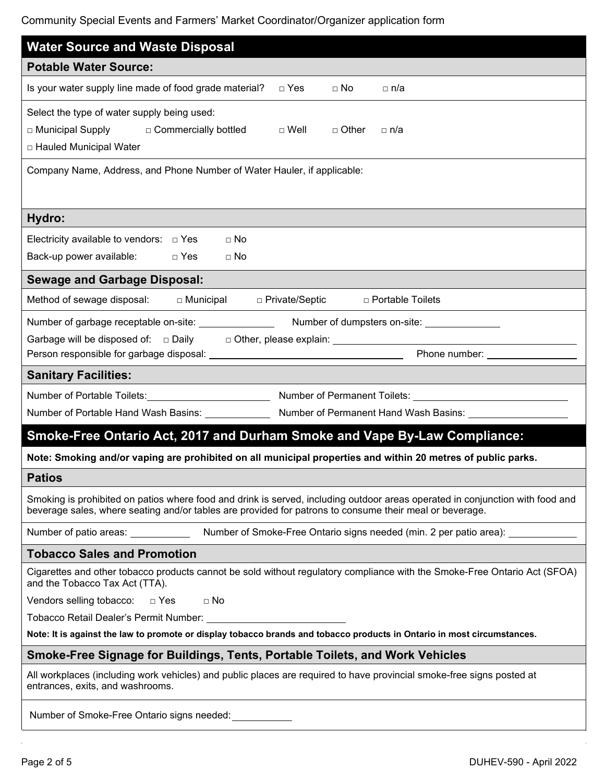Community Special Events and Farmers' Market Coordinator/Organizer application form

| <b>Water Source and Waste Disposal</b>                                                                                                                                                                                                   |  |  |  |  |  |
|------------------------------------------------------------------------------------------------------------------------------------------------------------------------------------------------------------------------------------------|--|--|--|--|--|
| <b>Potable Water Source:</b>                                                                                                                                                                                                             |  |  |  |  |  |
| Is your water supply line made of food grade material?<br>□ Yes<br>$\Box$ No<br>□ n/a                                                                                                                                                    |  |  |  |  |  |
| Select the type of water supply being used:<br>□ Municipal Supply □ Commercially bottled<br>$\Box$ Well<br>□ Other<br>⊟ n/a<br>□ Hauled Municipal Water                                                                                  |  |  |  |  |  |
| Company Name, Address, and Phone Number of Water Hauler, if applicable:                                                                                                                                                                  |  |  |  |  |  |
| Hydro:                                                                                                                                                                                                                                   |  |  |  |  |  |
| Electricity available to vendors: $\Box$ Yes<br>$\Box$ No<br>$\Box$ Yes<br>Back-up power available:<br>$\Box$ No                                                                                                                         |  |  |  |  |  |
| <b>Sewage and Garbage Disposal:</b>                                                                                                                                                                                                      |  |  |  |  |  |
| Method of sewage disposal: $\Box$ Municipal $\Box$ Private/Septic<br>□ Portable Toilets                                                                                                                                                  |  |  |  |  |  |
| Phone number:<br>                                                                                                                                                                                                                        |  |  |  |  |  |
|                                                                                                                                                                                                                                          |  |  |  |  |  |
| <b>Sanitary Facilities:</b>                                                                                                                                                                                                              |  |  |  |  |  |
| Number of Portable Toilets: <u>Communication of Permanent Toilets: Communication of Permanent Toilets:</u><br>Number of Portable Hand Wash Basins: Number of Permanent Hand Wash Basins: Number of Permanent Hand Wash Basins:           |  |  |  |  |  |
| Smoke-Free Ontario Act, 2017 and Durham Smoke and Vape By-Law Compliance:                                                                                                                                                                |  |  |  |  |  |
| Note: Smoking and/or vaping are prohibited on all municipal properties and within 20 metres of public parks.                                                                                                                             |  |  |  |  |  |
| <b>Patios</b>                                                                                                                                                                                                                            |  |  |  |  |  |
| Smoking is prohibited on patios where food and drink is served, including outdoor areas operated in conjunction with food and<br>beverage sales, where seating and/or tables are provided for patrons to consume their meal or beverage. |  |  |  |  |  |
| Number of patio areas: Number of Smoke-Free Ontario signs needed (min. 2 per patio area): Number of patio area                                                                                                                           |  |  |  |  |  |
| <b>Tobacco Sales and Promotion</b>                                                                                                                                                                                                       |  |  |  |  |  |
| Cigarettes and other tobacco products cannot be sold without regulatory compliance with the Smoke-Free Ontario Act (SFOA)<br>and the Tobacco Tax Act (TTA).                                                                              |  |  |  |  |  |
| Vendors selling tobacco: $\square$ Yes<br>$\Box$ No                                                                                                                                                                                      |  |  |  |  |  |
|                                                                                                                                                                                                                                          |  |  |  |  |  |
| Note: It is against the law to promote or display tobacco brands and tobacco products in Ontario in most circumstances.                                                                                                                  |  |  |  |  |  |
| Smoke-Free Signage for Buildings, Tents, Portable Toilets, and Work Vehicles                                                                                                                                                             |  |  |  |  |  |
| All workplaces (including work vehicles) and public places are required to have provincial smoke-free signs posted at<br>entrances, exits, and washrooms.                                                                                |  |  |  |  |  |
| Number of Smoke-Free Ontario signs needed:                                                                                                                                                                                               |  |  |  |  |  |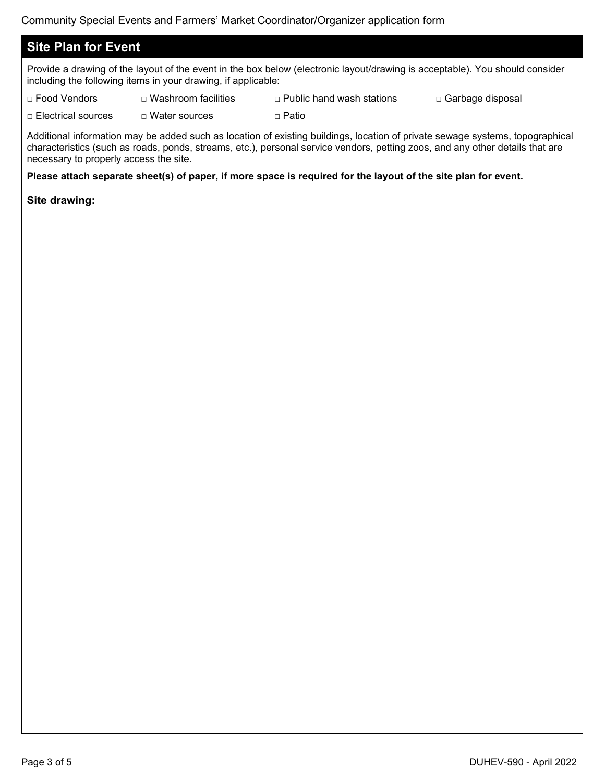## **Site Plan for Event**

Provide a drawing of the layout of the event in the box below (electronic layout/drawing is acceptable). You should consider including the following items in your drawing, if applicable:

□ Food Vendors □ Washroom facilities □ Public hand wash stations □ Garbage disposal

□ Electrical sources □ Water sources □ □ Patio

Additional information may be added such as location of existing buildings, location of private sewage systems, topographical characteristics (such as roads, ponds, streams, etc.), personal service vendors, petting zoos, and any other details that are necessary to properly access the site.

## **Please attach separate sheet(s) of paper, if more space is required for the layout of the site plan for event.**

**Site drawing:**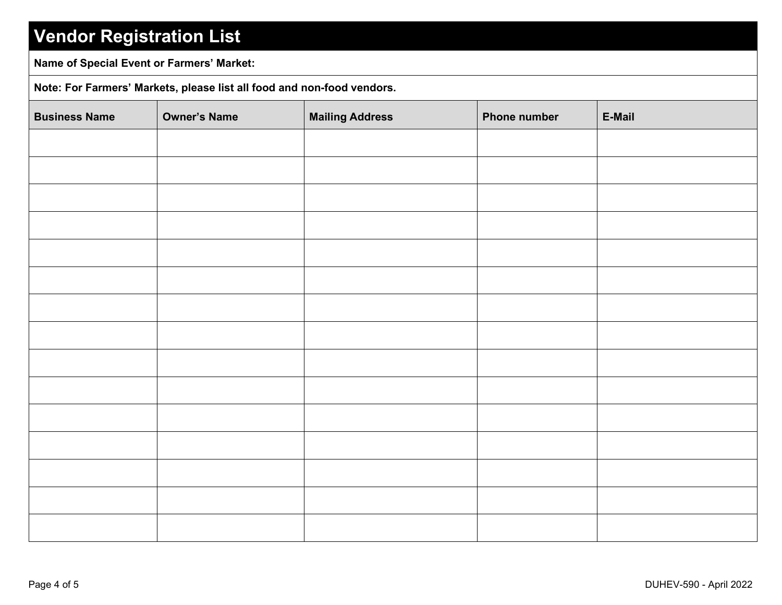## **Vendor Registration List**

**Name of Special Event or Farmers' Market:**

**Note: For Farmers' Markets, please list all food and non-food vendors.**

| <b>Business Name</b> | <b>Owner's Name</b> | <b>Mailing Address</b> | <b>Phone number</b> | E-Mail |
|----------------------|---------------------|------------------------|---------------------|--------|
|                      |                     |                        |                     |        |
|                      |                     |                        |                     |        |
|                      |                     |                        |                     |        |
|                      |                     |                        |                     |        |
|                      |                     |                        |                     |        |
|                      |                     |                        |                     |        |
|                      |                     |                        |                     |        |
|                      |                     |                        |                     |        |
|                      |                     |                        |                     |        |
|                      |                     |                        |                     |        |
|                      |                     |                        |                     |        |
|                      |                     |                        |                     |        |
|                      |                     |                        |                     |        |
|                      |                     |                        |                     |        |
|                      |                     |                        |                     |        |